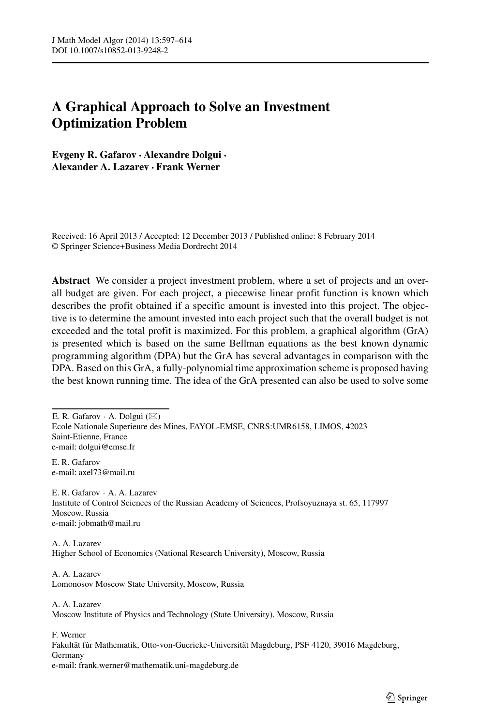# **A Graphical Approach to Solve an Investment Optimization Problem**

**Evgeny R. Gafarov · Alexandre Dolgui · Alexander A. Lazarev · Frank Werner**

Received: 16 April 2013 / Accepted: 12 December 2013 / Published online: 8 February 2014 © Springer Science+Business Media Dordrecht 2014

**Abstract** We consider a project investment problem, where a set of projects and an overall budget are given. For each project, a piecewise linear profit function is known which describes the profit obtained if a specific amount is invested into this project. The objective is to determine the amount invested into each project such that the overall budget is not exceeded and the total profit is maximized. For this problem, a graphical algorithm (GrA) is presented which is based on the same Bellman equations as the best known dynamic programming algorithm (DPA) but the GrA has several advantages in comparison with the DPA. Based on this GrA, a fully-polynomial time approximation scheme is proposed having the best known running time. The idea of the GrA presented can also be used to solve some

E. R. Gafarov · A. Dolgui  $(\boxtimes)$ Ecole Nationale Superieure des Mines, FAYOL-EMSE, CNRS:UMR6158, LIMOS, 42023 Saint-Etienne, France e-mail: [dolgui@emse.fr](mailto:dolgui@emse.fr)

E. R. Gafarov e-mail: [axel73@mail.ru](mailto:axel73@mail.ru)

E. R. Gafarov · A. A. Lazarev Institute of Control Sciences of the Russian Academy of Sciences, Profsoyuznaya st. 65, 117997 Moscow, Russia e-mail: [jobmath@mail.ru](mailto:jobmath@mail.ru)

A. A. Lazarev Higher School of Economics (National Research University), Moscow, Russia

A. A. Lazarev Lomonosov Moscow State University, Moscow, Russia

A. A. Lazarev

Moscow Institute of Physics and Technology (State University), Moscow, Russia

F. Werner Fakultät für Mathematik, Otto-von-Guericke-Universität Magdeburg, PSF 4120, 39016 Magdeburg, Germany e-mail: [frank.werner@mathematik.uni-magdeburg.de](mailto:frank.werner@mathematik.uni-magdeburg.de)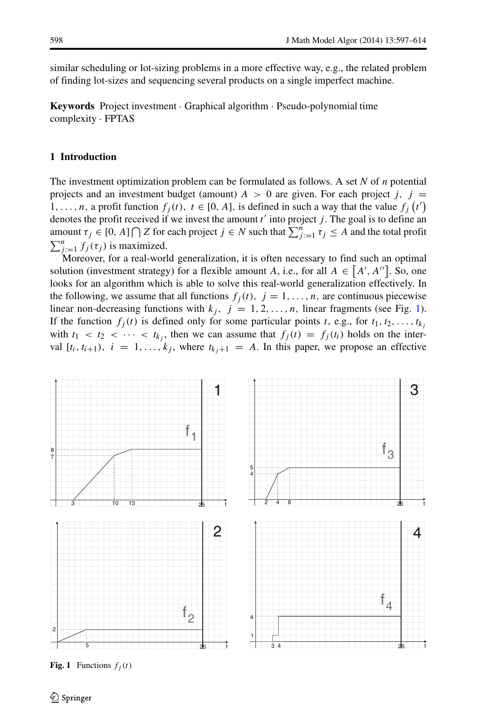similar scheduling or lot-sizing problems in a more effective way, e.g., the related problem of finding lot-sizes and sequencing several products on a single imperfect machine.

**Keywords** Project investment · Graphical algorithm · Pseudo-polynomial time complexity · FPTAS

# <span id="page-1-1"></span>**1 Introduction**

The investment optimization problem can be formulated as follows. A set *N* of *n* potential projects and an investment budget (amount)  $A > 0$  are given. For each project *j*, *j* = 1, ..., *n*, a profit function  $f_j(t)$ ,  $t \in [0, A]$ , is defined in such a way that the value  $f_j(t')$ denotes the profit received if we invest the amount *t* into project *j* . The goal is to define an amount  $\tau_j \in [0, A] \cap Z$  for each project  $j \in N$  such that  $\sum_{j=1}^n \tau_j \leq A$  and the total profit  $\sum_{j=1}^{n} f_j(\tau_j)$  is maximized.

Moreover, for a real-world generalization, it is often necessary to find such an optimal solution (investment strategy) for a flexible amount *A*, i.e., for all  $A \in [A', A'']$ . So, one looks for an algorithm which is able to solve this real-world generalization effectively. In the following, we assume that all functions  $f_j(t)$ ,  $j = 1, \ldots, n$ , are continuous piecewise linear non-decreasing functions with  $k_j$ ,  $j = 1, 2, ..., n$ , linear fragments (see Fig. [1\)](#page-1-0). If the function  $f_j(t)$  is defined only for some particular points *t*, e.g., for  $t_1, t_2, \ldots, t_{k_j}$ with  $t_1 < t_2 < \cdots < t_{k_i}$ , then we can assume that  $f_j(t) = f_j(t_i)$  holds on the interval  $[t_i, t_{i+1}), i = 1, \ldots, k_j$ , where  $t_{k_j+1} = A$ . In this paper, we propose an effective

<span id="page-1-0"></span>

**Fig. 1** Functions  $f_i(t)$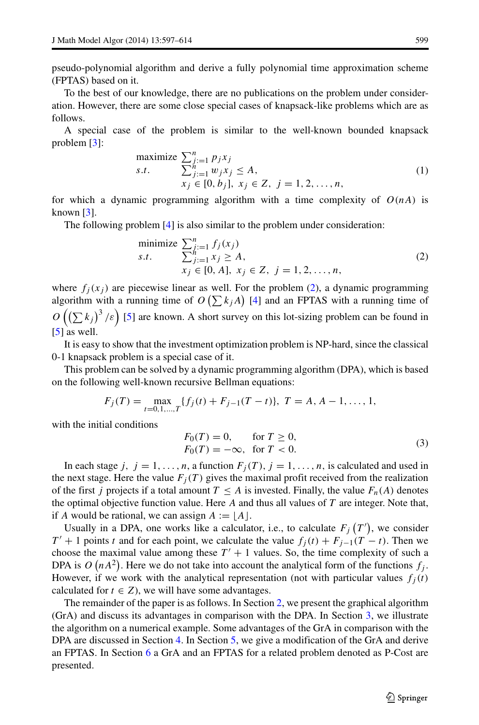pseudo-polynomial algorithm and derive a fully polynomial time approximation scheme (FPTAS) based on it.

To the best of our knowledge, there are no publications on the problem under consideration. However, there are some close special cases of knapsack-like problems which are as follows.

A special case of the problem is similar to the well-known bounded knapsack problem [\[3\]](#page-17-0):

maximize 
$$
\sum_{j:=1}^{n} p_j x_j
$$
  
\n*s.t.*  $\sum_{j:=1}^{n} w_j x_j \le A$ ,  
\n $x_j \in [0, b_j], x_j \in Z, j = 1, 2, ..., n$ , (1)

for which a dynamic programming algorithm with a time complexity of  $O(nA)$  is known  $\lceil 3 \rceil$ .

The following problem [\[4\]](#page-17-1) is also similar to the problem under consideration:

<span id="page-2-0"></span>minimize 
$$
\sum_{j=1}^{n} f_j(x_j)
$$
  
\n*s.t.*  $\sum_{j=1}^{n} x_j \ge A$ ,  
\n $x_j \in [0, A], x_j \in Z, j = 1, 2, ..., n$ , (2)

where  $f_i(x_i)$  are piecewise linear as well. For the problem [\(2\)](#page-2-0), a dynamic programming algorithm with a running time of  $O\left(\sum k_j A\right)$  [\[4\]](#page-17-1) and an FPTAS with a running time of  $O\left(\left(\sum k_j\right)^3/\varepsilon\right)$  [\[5\]](#page-17-2) are known. A short survey on this lot-sizing problem can be found in [\[5\]](#page-17-2) as well.

It is easy to show that the investment optimization problem is NP-hard, since the classical 0-1 knapsack problem is a special case of it.

This problem can be solved by a dynamic programming algorithm (DPA), which is based on the following well-known recursive Bellman equations:

$$
F_j(T) = \max_{t=0,1,\dots,T} \{f_j(t) + F_{j-1}(T-t)\}, \ T = A, A-1, \dots, 1,
$$

with the initial conditions

$$
F_0(T) = 0, \quad \text{for } T \ge 0,
$$
  

$$
F_0(T) = -\infty, \quad \text{for } T < 0.
$$
 (3)

In each stage *j*,  $j = 1, \ldots, n$ , a function  $F_j(T)$ ,  $j = 1, \ldots, n$ , is calculated and used in the next stage. Here the value  $F_j(T)$  gives the maximal profit received from the realization of the first *j* projects if a total amount  $T \leq A$  is invested. Finally, the value  $F_n(A)$  denotes the optimal objective function value. Here *A* and thus all values of *T* are integer. Note that, if *A* would be rational, we can assign  $A := \lfloor A \rfloor$ .

Usually in a DPA, one works like a calculator, i.e., to calculate  $F_j(T')$ , we consider *T*<sup> $′$ </sup> + 1 points *t* and for each point, we calculate the value  $f_j(t)$  +  $F_{j-1}(T - t)$ . Then we choose the maximal value among these  $T' + 1$  values. So, the time complexity of such a DPA is  $O(nA^2)$ . Here we do not take into account the analytical form of the functions  $f_j$ . However, if we work with the analytical representation (not with particular values  $f_i(t)$ ) calculated for  $t \in Z$ ), we will have some advantages.

The remainder of the paper is as follows. In Section [2,](#page-3-0) we present the graphical algorithm (GrA) and discuss its advantages in comparison with the DPA. In Section [3,](#page-6-0) we illustrate the algorithm on a numerical example. Some advantages of the GrA in comparison with the DPA are discussed in Section [4.](#page-13-0) In Section [5,](#page-13-1) we give a modification of the GrA and derive an FPTAS. In Section [6](#page-15-0) a GrA and an FPTAS for a related problem denoted as P-Cost are presented.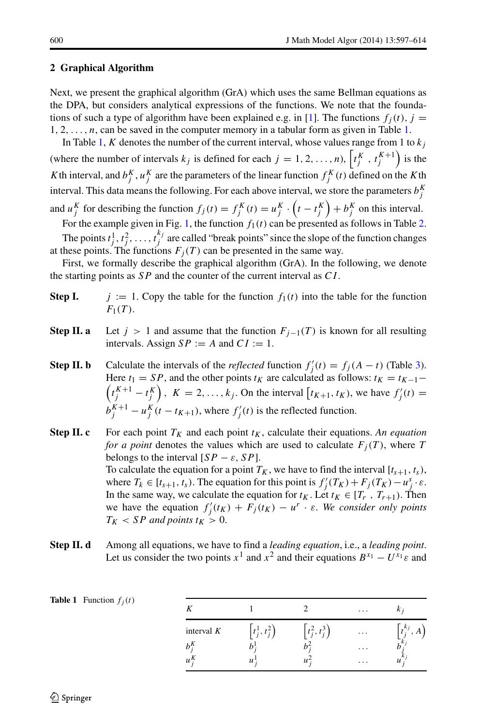# <span id="page-3-0"></span>**2 Graphical Algorithm**

Next, we present the graphical algorithm (GrA) which uses the same Bellman equations as the DPA, but considers analytical expressions of the functions. We note that the founda-tions of such a type of algorithm have been explained e.g. in [\[1\]](#page-17-3). The functions  $f_i(t)$ ,  $j =$  $1, 2, \ldots, n$ , can be saved in the computer memory in a tabular form as given in Table [1.](#page-3-1)

In Table [1,](#page-3-1) *K* denotes the number of the current interval, whose values range from 1 to  $k_j$ (where the number of intervals  $k_j$  is defined for each  $j = 1, 2, ..., n$ ),  $\left[ t_j^K, t_j^{K+1} \right)$  is the *K* th interval, and  $b_j^K$ ,  $u_j^K$  are the parameters of the linear function  $f_j^K(t)$  defined on the *K* th interval. This data means the following. For each above interval, we store the parameters  $b_j^K$ and  $u_j^K$  for describing the function  $f_j(t) = f_j^K(t) = u_j^K \cdot \left(t - t_j^K\right) + b_j^K$  on this interval.

For the example given in Fig. [1,](#page-1-0) the function  $f_1(t)$  can be presented as follows in Table [2.](#page-4-0) The points  $t_j^1, t_j^2, \ldots, t_j^{k_j}$  are called "break points" since the slope of the function changes at these points. The functions  $F_j(T)$  can be presented in the same way.

First, we formally describe the graphical algorithm (GrA). In the following, we denote the starting points as *SP* and the counter of the current interval as *CI* .

- **Step I.**  $j := 1$ . Copy the table for the function  $f_1(t)$  into the table for the function  $F_1(T)$ .
- **Step II. a** Let  $j > 1$  and assume that the function  $F_{j-1}(T)$  is known for all resulting intervals. Assign  $SP := A$  and  $CI := 1$ .
- **Step II. b** Calculate the intervals of the *reflected* function  $f'_j(t) = f_j(A t)$  (Table [3\)](#page-4-1).  $\left(t_j^{K+1} - t_j^K\right)$ ,  $K = 2, \ldots, k_j$ . On the interval  $\left[t_{K+1}, t_K\right)$ , we have  $f'_j(t) =$ Here  $t_1 = SP$ , and the other points  $t_K$  are calculated as follows:  $t_K = t_{K-1}$  $b_j^{K+1} - u_j^K(t - t_{K+1})$ , where  $f'_j(t)$  is the reflected function.
- **Step II. c** For each point  $T_K$  and each point  $t_K$ , calculate their equations. An equation *for a point* denotes the values which are used to calculate  $F_j(T)$ , where T belongs to the interval  $[SP - \varepsilon, SP]$ . To calculate the equation for a point  $T_K$ , we have to find the interval  $[t_{s+1}, t_s)$ , where  $T_k \in [t_{s+1}, t_s)$ . The equation for this point is  $f'_j(T_K) + F_j(T_K) - u_j^s \cdot \varepsilon$ . In the same way, we calculate the equation for  $t_K$ . Let  $t_K \in [T_r, T_{r+1})$ . Then we have the equation  $f'_j(t_K) + F_j(t_K) - u^r \cdot \varepsilon$ . We consider only points  $T_K$  < *SP and points*  $t_K$  > 0.
- **Step II. d** Among all equations, we have to find a *leading equation*, i.e., a *leading point*. Let us consider the two points  $x^1$  and  $x^2$  and their equations  $B^{x_1} - U^{x_1} \varepsilon$  and

<span id="page-3-1"></span>

| <b>Table 1</b> Function $f_j(t)$ |                  |                |                             | $\cdots$            | K i                            |
|----------------------------------|------------------|----------------|-----------------------------|---------------------|--------------------------------|
|                                  | interval $K$     | $t_i^1, t_i^2$ | $\left[t_i^2, t_i^3\right]$ | $\cdots$<br>$\cdot$ | $t^{k_j}$<br>$\cdot$ $\Lambda$ |
|                                  | $\boldsymbol{u}$ | u              | u                           | $\cdots$            | u                              |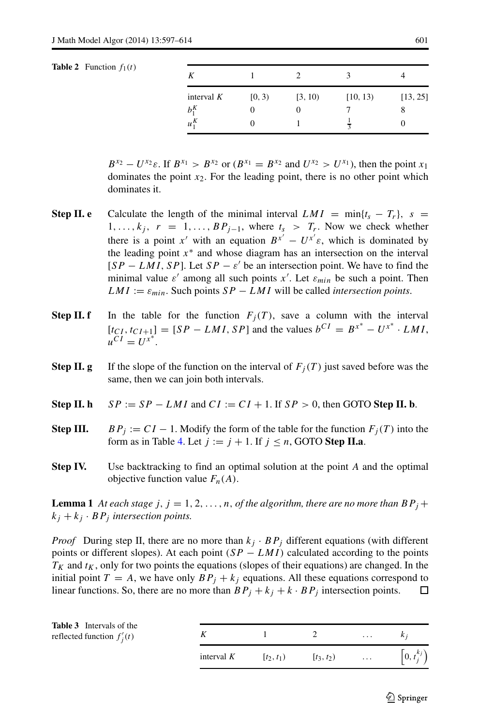#### <span id="page-4-0"></span>**Table 2** Function  $f_1(t)$

| K                       |        |         |                         |               |
|-------------------------|--------|---------|-------------------------|---------------|
| interval $K$<br>$b_1^K$ | [0, 3) | [3, 10) | [10, 13)                | [13, 25]<br>8 |
| $u_1^K$                 |        |         | $\overline{\mathbf{a}}$ |               |

 $B^{x_2} - U^{x_2} \varepsilon$ . If  $B^{x_1} > B^{x_2}$  or  $(B^{x_1} = B^{x_2}$  and  $U^{x_2} > U^{x_1}$ , then the point  $x_1$ dominates the point  $x_2$ . For the leading point, there is no other point which dominates it.

- **Step II. e** Calculate the length of the minimal interval  $LMI = min\{t_s - T_r\}$ ,  $s =$ 1,..., $k_j$ ,  $r = 1, \ldots, BP_{j-1}$ , where  $t_s > T_r$ . Now we check whether there is a point *x'* with an equation  $B^{x'} - U^{x'}\varepsilon$ , which is dominated by the leading point  $x^*$  and whose diagram has an intersection on the interval  $[SP - LMI, SP]$ . Let  $SP - \varepsilon'$  be an intersection point. We have to find the minimal value  $\varepsilon'$  among all such points  $x'$ . Let  $\varepsilon_{min}$  be such a point. Then  $LMI := \varepsilon_{min}$ . Such points  $SP - LMI$  will be called *intersection points*.
- **Step II. f** In the table for the function  $F_j(T)$ , save a column with the interval  $[t_{CI}, t_{CI+1}] = [SP - LMI, SP]$  and the values  $b^{CI} = B^{x^*} - U^{x^*} \cdot LMI$ ,  $u^{CI} = U^{x^*}.$
- **Step II. g** If the slope of the function on the interval of  $F_i(T)$  just saved before was the same, then we can join both intervals.
- **Step II. h**  $SP := SP LMI$  and  $CI := CI + 1$ . If  $SP > 0$ , then GOTO **Step II. b**.
- **Step III.**  $BP_i := CI 1$ . Modify the form of the table for the function  $F_i(T)$  into the form as in Table [4.](#page-5-0) Let  $j := j + 1$ . If  $j \leq n$ , GOTO **Step II.a**.
- **Step IV.** Use backtracking to find an optimal solution at the point *A* and the optimal objective function value  $F_n(A)$ .

**Lemma 1** At each stage  $j, j = 1, 2, \ldots, n$ , of the algorithm, there are no more than  $BP_j +$  $k_j + k_j \cdot BP_j$  *intersection points.* 

*Proof* During step II, there are no more than  $k_j \cdot BP_j$  different equations (with different points or different slopes). At each point *(SP* − *LMI )* calculated according to the points  $T_K$  and  $t_K$ , only for two points the equations (slopes of their equations) are changed. In the initial point  $T = A$ , we have only  $BP_j + k_j$  equations. All these equations correspond to linear functions. So, there are no more than  $BP_i + k_i + k \cdot BP_i$  intersection points. linear functions. So, there are no more than  $BP_j + k_j + k \cdot BP_j$  intersection points.

<span id="page-4-1"></span>

| <b>Table 3</b> Intervals of the<br>reflected function $f_i'(t)$ |              |              |              | $\cdots$          | $k_i$                       |
|-----------------------------------------------------------------|--------------|--------------|--------------|-------------------|-----------------------------|
|                                                                 | interval $K$ | $[t_2, t_1]$ | $[t_3, t_2)$ | <b>Contractor</b> | $\left[0, t_i^{k_j}\right)$ |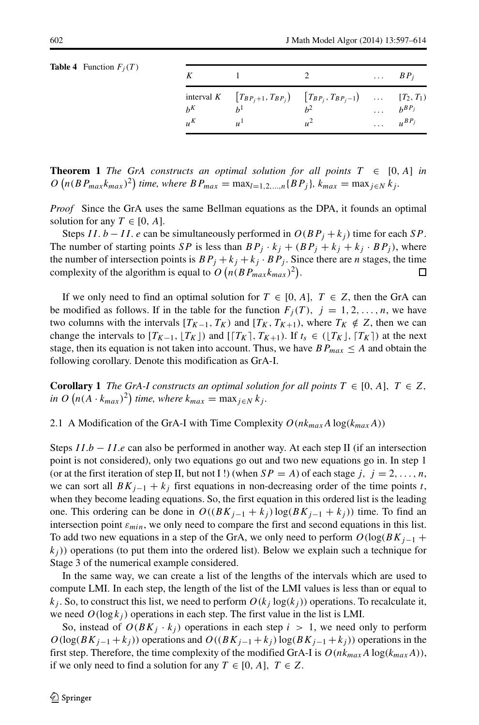<span id="page-5-0"></span>

|  | <b>Table 4</b> Function $F_j(T)$ |  |
|--|----------------------------------|--|
|--|----------------------------------|--|

|         |               |                                                                                               | $\ldots$ $BP_i$ |
|---------|---------------|-----------------------------------------------------------------------------------------------|-----------------|
| $h^K$   |               | interval $K$ $[T_{BP_j+1}, T_{BP_j}]$ $[T_{BP_j}, T_{BP_j-1}]$ $[T_2, T_1]$<br>h <sup>2</sup> | $b^{BP_j}$      |
| $\mu^K$ | $\mu^{\perp}$ |                                                                                               | $\mu^{BP_j}$    |

**Theorem 1** *The GrA constructs an optimal solution for all points*  $T \in [0, A]$  *in*  $O(n(BP_{max}k_{max})^2)$  time, where  $BP_{max} = \max_{l=1,2,...,n} {BP_j}$ ,  $k_{max} = \max_{j \in N} k_j$ .

*Proof* Since the GrA uses the same Bellman equations as the DPA, it founds an optimal solution for any  $T \in [0, A]$ .

Steps *II. b* − *II. e* can be simultaneously performed in  $O(BP_j + k_j)$  time for each *SP*. The number of starting points *SP* is less than  $BP_i \cdot k_j + (BP_j + k_j + k_j \cdot BP_j)$ , where the number of intersection points is  $BP_j + k_j + k_j \cdot BP_j$ . Since there are *n* stages, the time complexity of the algorithm is equal to  $O(n(BP_{max}k_{max})^2)$ . complexity of the algorithm is equal to  $O(n(BP_{max}k_{max})^2)$ .

If we only need to find an optimal solution for  $T \in [0, A]$ ,  $T \in Z$ , then the GrA can be modified as follows. If in the table for the function  $F_i(T)$ ,  $j = 1, 2, \ldots, n$ , we have two columns with the intervals  $[T_{K-1}, T_K)$  and  $[T_K, T_{K+1})$ , where  $T_K \notin Z$ , then we can change the intervals to  $[T_{K-1}, [T_K])$  and  $[T_K, T_{K+1})$ . If  $t_s \in ([T_K], [T_K])$  at the next stage, then its equation is not taken into account. Thus, we have  $BP_{max} \leq A$  and obtain the following corollary. Denote this modification as GrA-I.

**Corollary 1** *The GrA-I constructs an optimal solution for all points*  $T \in [0, A]$ ,  $T \in Z$ ,  $\int_{0}^{R} (n(A \cdot k_{max})^2)$  *time, where*  $k_{max} = \max_{j \in N} k_j$ .

2.1 A Modification of the GrA-I with Time Complexity  $O(nk_{max}A \log(k_{max}A))$ 

Steps *I I.b* − *I I.e* can also be performed in another way. At each step II (if an intersection point is not considered), only two equations go out and two new equations go in. In step 1 (or at the first iteration of step II, but not I!) (when  $SP = A$ ) of each stage *j*,  $j = 2, ..., n$ , we can sort all  $BK_{j-1} + k_j$  first equations in non-decreasing order of the time points *t*, when they become leading equations. So, the first equation in this ordered list is the leading one. This ordering can be done in  $O((BK_{i-1} + k_i) \log(BK_{i-1} + k_i))$  time. To find an intersection point  $\varepsilon_{min}$ , we only need to compare the first and second equations in this list. To add two new equations in a step of the GrA, we only need to perform  $O(\log(BK_{j-1}$  +  $k_j$ ) operations (to put them into the ordered list). Below we explain such a technique for Stage 3 of the numerical example considered.

In the same way, we can create a list of the lengths of the intervals which are used to compute LMI. In each step, the length of the list of the LMI values is less than or equal to  $k_j$ . So, to construct this list, we need to perform  $O(k_j \log(k_j))$  operations. To recalculate it, we need  $O(\log k_i)$  operations in each step. The first value in the list is LMI.

So, instead of  $O(BK_i \cdot k_i)$  operations in each step  $i > 1$ , we need only to perform  $O(\log(BK_{j-1} + k_j))$  operations and  $O((BK_{j-1} + k_j) \log(BK_{j-1} + k_j))$  operations in the first step. Therefore, the time complexity of the modified GrA-I is  $O(nk_{max}A \log(k_{max}A))$ , if we only need to find a solution for any  $T \in [0, A]$ ,  $T \in Z$ .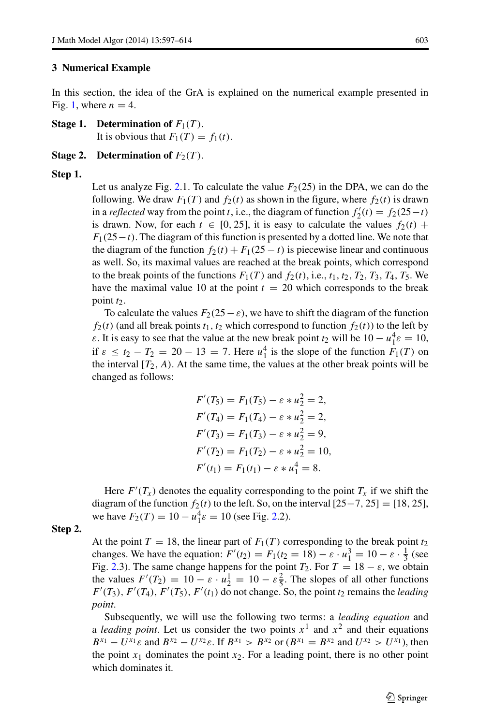#### <span id="page-6-0"></span>**3 Numerical Example**

In this section, the idea of the GrA is explained on the numerical example presented in Fig. [1,](#page-1-0) where  $n = 4$ .

**Stage 1. Determination of**  $F_1(T)$ .

It is obvious that  $F_1(T) = f_1(t)$ .

#### **Stage 2. Determination of**  $F_2(T)$ .

#### **Step 1.**

Let us analyze Fig. [2.](#page-7-0)1. To calculate the value  $F_2(25)$  in the DPA, we can do the following. We draw  $F_1(T)$  and  $f_2(t)$  as shown in the figure, where  $f_2(t)$  is drawn in a *reflected* way from the point *t*, i.e., the diagram of function  $f'_2(t) = f_2(25-t)$ is drawn. Now, for each  $t \in [0, 25]$ , it is easy to calculate the values  $f_2(t)$  + *F*<sub>1</sub>(25−*t*). The diagram of this function is presented by a dotted line. We note that the diagram of the function  $f_2(t) + F_1(25 - t)$  is piecewise linear and continuous as well. So, its maximal values are reached at the break points, which correspond to the break points of the functions  $F_1(T)$  and  $f_2(t)$ , i.e.,  $t_1, t_2, T_2, T_3, T_4, T_5$ . We have the maximal value 10 at the point  $t = 20$  which corresponds to the break point *t*2.

To calculate the values  $F_2(25-\varepsilon)$ , we have to shift the diagram of the function  $f_2(t)$  (and all break points  $t_1, t_2$  which correspond to function  $f_2(t)$ ) to the left by *ε*. It is easy to see that the value at the new break point  $t_2$  will be  $10 - u_1^4 \varepsilon = 10$ , if  $\varepsilon \le t_2 - T_2 = 20 - 13 = 7$ . Here  $u_1^4$  is the slope of the function  $F_1(T)$  on the interval  $[T_2, A)$ . At the same time, the values at the other break points will be changed as follows:

$$
F'(T_5) = F_1(T_5) - \varepsilon * u_2^2 = 2,
$$
  
\n
$$
F'(T_4) = F_1(T_4) - \varepsilon * u_2^2 = 2,
$$
  
\n
$$
F'(T_3) = F_1(T_3) - \varepsilon * u_2^2 = 9,
$$
  
\n
$$
F'(T_2) = F_1(T_2) - \varepsilon * u_2^2 = 10,
$$
  
\n
$$
F'(t_1) = F_1(t_1) - \varepsilon * u_1^4 = 8.
$$

Here  $F'(T_x)$  denotes the equality corresponding to the point  $T_x$  if we shift the diagram of the function  $f_2(t)$  to the left. So, on the interval  $[25-7, 25] = [18, 25]$ , we have  $F_2(T) = 10 - u_1^4 \varepsilon = 10$  (see Fig. [2.](#page-7-0)2).

# **Step 2.**

At the point  $T = 18$ , the linear part of  $F_1(T)$  corresponding to the break point  $t_2$ changes. We have the equation:  $F'(t_2) = F_1(t_2 = 18) - \varepsilon \cdot u_1^3 = 10 - \varepsilon \cdot \frac{1}{3}$  (see Fig. [2.](#page-7-0)3). The same change happens for the point  $T_2$ . For  $T = 18 - \varepsilon$ , we obtain the values  $F'(T_2) = 10 - \varepsilon \cdot u_2^1 = 10 - \varepsilon \frac{2}{5}$ . The slopes of all other functions  $F'(T_3)$ ,  $F'(T_4)$ ,  $F'(T_5)$ ,  $F'(t_1)$  do not change. So, the point  $t_2$  remains the *leading point*.

Subsequently, we will use the following two terms: a *leading equation* and a *leading point*. Let us consider the two points  $x<sup>1</sup>$  and  $x<sup>2</sup>$  and their equations  $B^{x_1} - U^{x_1} \varepsilon$  and  $B^{x_2} - U^{x_2} \varepsilon$ . If  $B^{x_1} > B^{x_2}$  or  $(B^{x_1} = B^{x_2}$  and  $U^{x_2} > U^{x_1}$ , then the point  $x_1$  dominates the point  $x_2$ . For a leading point, there is no other point which dominates it.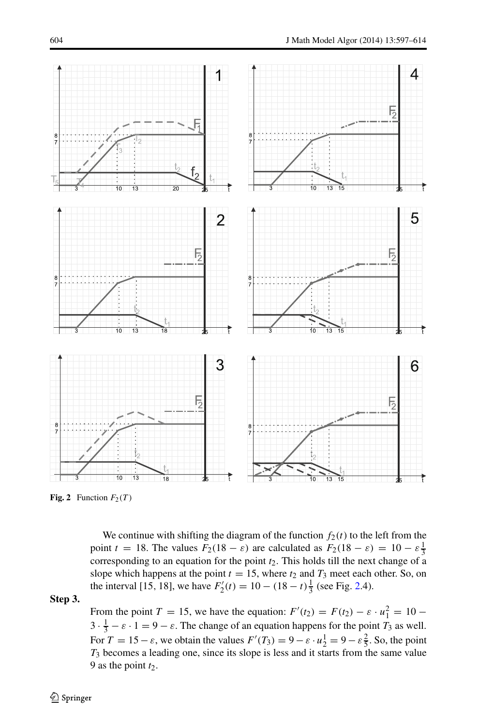<span id="page-7-0"></span>

**Fig. 2** Function  $F_2(T)$ 

We continue with shifting the diagram of the function  $f_2(t)$  to the left from the point  $t = 18$ . The values  $F_2(18 - \varepsilon)$  are calculated as  $F_2(18 - \varepsilon) = 10 - \varepsilon \frac{1}{3}$ corresponding to an equation for the point *t*2. This holds till the next change of a slope which happens at the point  $t = 15$ , where  $t_2$  and  $T_3$  meet each other. So, on the interval [15, 18], we have  $F_2'(t) = 10 - (18 - t)\frac{1}{3}$  (see Fig. [2.](#page-7-0)4).

**Step 3.**

From the point *T* = 15, we have the equation:  $F'(t_2) = F(t_2) - \varepsilon \cdot u_1^2 = 10 3 \cdot \frac{1}{3} - \varepsilon \cdot 1 = 9 - \varepsilon$ . The change of an equation happens for the point *T*<sub>3</sub> as well. For  $T = 15 - \varepsilon$ , we obtain the values  $F'(T_3) = 9 - \varepsilon \cdot u_2^1 = 9 - \varepsilon \frac{2}{5}$ . So, the point *T*<sup>3</sup> becomes a leading one, since its slope is less and it starts from the same value 9 as the point  $t_2$ .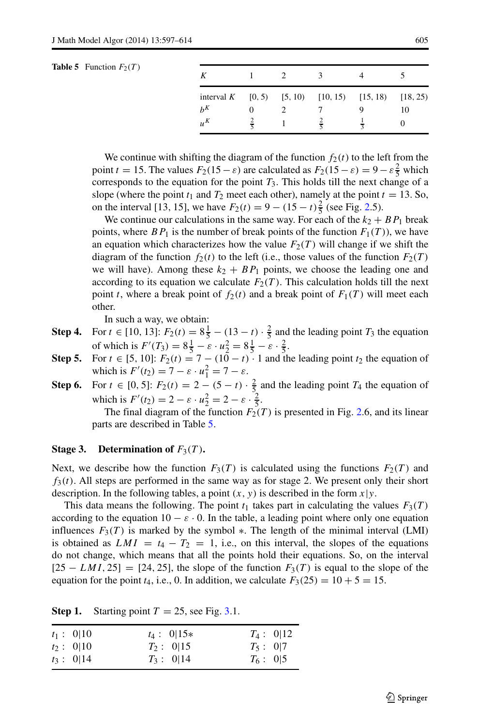| K                                                              |   |   |    |
|----------------------------------------------------------------|---|---|----|
| interval K $[0, 5)$ $[5, 10)$ $[10, 15)$ $[15, 18)$ $[18, 25)$ |   |   |    |
| $h^K$                                                          |   |   | 10 |
| $u^{K}$                                                        | τ | ≂ |    |

<span id="page-8-0"></span>We continue with shifting the diagram of the function  $f_2(t)$  to the left from the point *t* = 15. The values  $F_2(15 - \varepsilon)$  are calculated as  $F_2(15 - \varepsilon) = 9 - \varepsilon \frac{2}{5}$  which corresponds to the equation for the point  $T_3$ . This holds till the next change of a slope (where the point  $t_1$  and  $T_2$  meet each other), namely at the point  $t = 13$ . So, on the interval [13, 15], we have  $F_2(t) = 9 - (15 - t)\frac{2}{5}$  (see Fig. [2.](#page-7-0)5).

We continue our calculations in the same way. For each of the  $k_2 + BP_1$  break points, where  $BP_1$  is the number of break points of the function  $F_1(T)$ ), we have an equation which characterizes how the value  $F_2(T)$  will change if we shift the diagram of the function  $f_2(t)$  to the left (i.e., those values of the function  $F_2(T)$ we will have). Among these  $k_2 + BP_1$  points, we choose the leading one and according to its equation we calculate  $F_2(T)$ . This calculation holds till the next point *t*, where a break point of  $f_2(t)$  and a break point of  $F_1(T)$  will meet each other.

In such a way, we obtain:

- **Step 4.** For  $t \in [10, 13]$ :  $F_2(t) = 8\frac{1}{5} (13 t) \cdot \frac{2}{5}$  and the leading point  $T_3$  the equation of which is  $F'(T_3) = 8\frac{1}{5} - \varepsilon \cdot u_2^2 = 8\frac{1}{5} - \varepsilon \cdot \frac{2}{5}$ .
- **Step 5.** For  $t \in [5, 10]$ :  $F_2(t) = 7 (10 t) \cdot 1$  and the leading point  $t_2$  the equation of which is  $F'(t_2) = 7 - \varepsilon \cdot u_1^2 = 7 - \varepsilon$ .
- **Step 6.** For  $t \in [0, 5]$ :  $F_2(t) = 2 (5 t) \cdot \frac{2}{5}$  and the leading point  $T_4$  the equation of which is  $F'(t_2) = 2 - \varepsilon \cdot u_2^2 = 2 - \varepsilon \cdot \frac{2}{5}$ .

The final diagram of the function  $F_2(T)$  is presented in Fig. [2.](#page-7-0)6, and its linear parts are described in Table [5.](#page-8-0)

# **Stage 3.** Determination of  $F_3(T)$ **.**

Next, we describe how the function  $F_3(T)$  is calculated using the functions  $F_2(T)$  and  $f_3(t)$ . All steps are performed in the same way as for stage 2. We present only their short description. In the following tables, a point *(x, y)* is described in the form *x*|*y*.

This data means the following. The point  $t_1$  takes part in calculating the values  $F_3(T)$ according to the equation  $10 - \varepsilon \cdot 0$ . In the table, a leading point where only one equation influences  $F_3(T)$  is marked by the symbol  $*$ . The length of the minimal interval (LMI) is obtained as  $LMI = t_4 - T_2 = 1$ , i.e., on this interval, the slopes of the equations do not change, which means that all the points hold their equations. So, on the interval  $[25 - LMI, 25] = [24, 25]$ , the slope of the function  $F_3(T)$  is equal to the slope of the equation for the point  $t_4$ , i.e., 0. In addition, we calculate  $F_3(25) = 10 + 5 = 15$ .

| $t_1: 0 10$  | $t_4: 0 15*$ | $T_4: 0 12$ |
|--------------|--------------|-------------|
| $t_2$ : 0 10 | $T_2: 0 15$  | $T_5: 0 7$  |
| $t_3: 0 14$  | $T_3: 0 14$  | $T_6: 0 5$  |

**Step 1.** Starting point  $T = 25$ , see Fig. [3.](#page-9-0)1.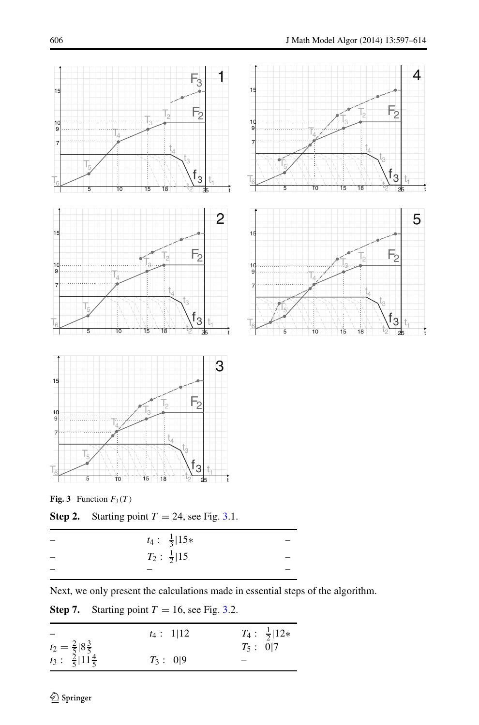<span id="page-9-0"></span>

**Fig. 3** Function  $F_3(T)$ 

**Step 2.** Starting point  $T = 24$ , see Fig. [3.](#page-9-0)1.

| $t_4: \frac{1}{3}  15*$ |  |
|-------------------------|--|
| $T_2: \frac{1}{2}  15$  |  |
|                         |  |

Next, we only present the calculations made in essential steps of the algorithm.

|                                                                          | $t_4: 1 12$ |            | $T_4: \frac{1}{2}  12*$ |
|--------------------------------------------------------------------------|-------------|------------|-------------------------|
|                                                                          |             | $T_5: 0 7$ |                         |
| $t_2 = \frac{2}{5}  8\frac{3}{5} $<br>$t_3: \frac{2}{5}  11\frac{4}{5} $ | $T_3: 0 9$  |            |                         |

**Step 7.** Starting point  $T = 16$ , see Fig. [3.](#page-9-0)2.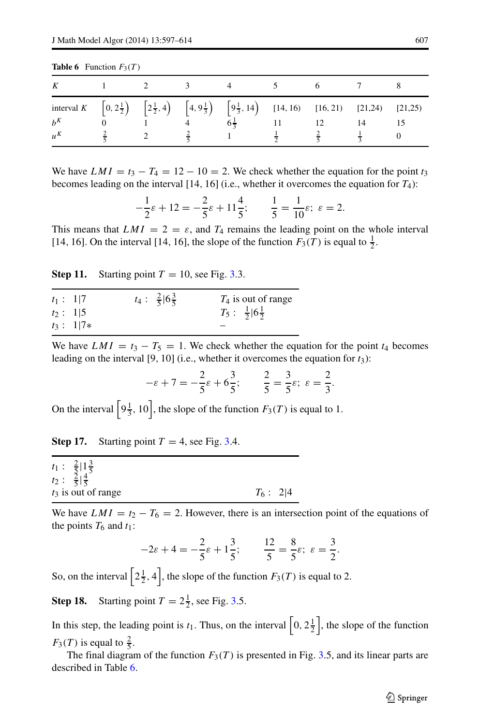<span id="page-10-0"></span>

| <b>Table 6</b> Function $F_3(T)$ |  |  |
|----------------------------------|--|--|
|----------------------------------|--|--|

|         |  | K 1 2 3 4 5 6 7 8                                                                                                                                                                                                                                                         |  |  |
|---------|--|---------------------------------------------------------------------------------------------------------------------------------------------------------------------------------------------------------------------------------------------------------------------------|--|--|
|         |  | interval K $\left[0, 2\frac{1}{2}\right)$ $\left[2\frac{1}{2}, 4\right)$ $\left[4, 9\frac{1}{3}\right]$ $\left[9\frac{1}{3}, 14\right)$ $\left[14, 16\right)$ $\left[16, 21\right)$ $\left[21, 24\right)$ $\left[21, 25\right)$<br>$b^K$ 0 1 4 $6\frac{1}{3}$ 11 12 14 15 |  |  |
| $u^{K}$ |  | $\frac{2}{5}$ 2 $\frac{2}{5}$ 1 $\frac{1}{2}$ $\frac{2}{5}$ $\frac{1}{3}$ 0                                                                                                                                                                                               |  |  |

We have  $LMI = t_3 - T_4 = 12 - 10 = 2$ . We check whether the equation for the point  $t_3$ becomes leading on the interval [14*,* 16] (i.e., whether it overcomes the equation for *T*4):

$$
-\frac{1}{2}\varepsilon + 12 = -\frac{2}{5}\varepsilon + 11\frac{4}{5}; \qquad \frac{1}{5} = \frac{1}{10}\varepsilon; \ \varepsilon = 2.
$$

This means that  $LMI = 2 = \varepsilon$ , and  $T_4$  remains the leading point on the whole interval [14, 16]. On the interval [14, 16], the slope of the function  $F_3(T)$  is equal to  $\frac{1}{2}$ .

**Step 11.** Starting point  $T = 10$ , see Fig. [3.](#page-9-0)3.

| $t_1: 1 7$ |             | $t_4: \frac{2}{5}  6\frac{3}{5} $ | $T_4$ is out of range             |
|------------|-------------|-----------------------------------|-----------------------------------|
| $t_2: 1 5$ |             |                                   | $T_5: \frac{1}{2}  6\frac{1}{2} $ |
|            | $t_3: 1 7*$ |                                   |                                   |

We have  $LMI = t_3 - T_5 = 1$ . We check whether the equation for the point  $t_4$  becomes leading on the interval [9*,* 10] (i.e., whether it overcomes the equation for *t*3):

$$
-\varepsilon + 7 = -\frac{2}{5}\varepsilon + 6\frac{3}{5}; \qquad \frac{2}{5} = \frac{3}{5}\varepsilon; \ \varepsilon = \frac{2}{3}.
$$

On the interval  $\left[9\frac{1}{3}, 10\right]$ , the slope of the function  $F_3(T)$  is equal to 1.

**Step 17.** Starting point  $T = 4$ , see Fig. [3.](#page-9-0)4.

|  | $t_1: \frac{2}{5}  1\frac{3}{5} $ |             |  |
|--|-----------------------------------|-------------|--|
|  | $t_2: \frac{2}{5} \frac{4}{5} $   |             |  |
|  | $t_3$ is out of range             | $T_6$ : 2 4 |  |

We have  $LMI = t_2 - T_6 = 2$ . However, there is an intersection point of the equations of the points  $T_6$  and  $t_1$ :

$$
-2\varepsilon + 4 = -\frac{2}{5}\varepsilon + 1\frac{3}{5}; \qquad \frac{12}{5} = \frac{8}{5}\varepsilon; \ \varepsilon = \frac{3}{2}.
$$

So, on the interval  $\left[2\frac{1}{2}, 4\right]$ , the slope of the function  $F_3(T)$  is equal to 2.

**Step 18.** Starting point  $T = 2\frac{1}{2}$ , see Fig. [3.](#page-9-0)5.

In this step, the leading point is  $t_1$ . Thus, on the interval  $\left[0, 2\frac{1}{2}\right]$ , the slope of the function  $F_3(T)$  is equal to  $\frac{2}{5}$ .

The final diagram of the function  $F_3(T)$  is presented in Fig. [3.](#page-9-0)5, and its linear parts are described in Table [6.](#page-10-0)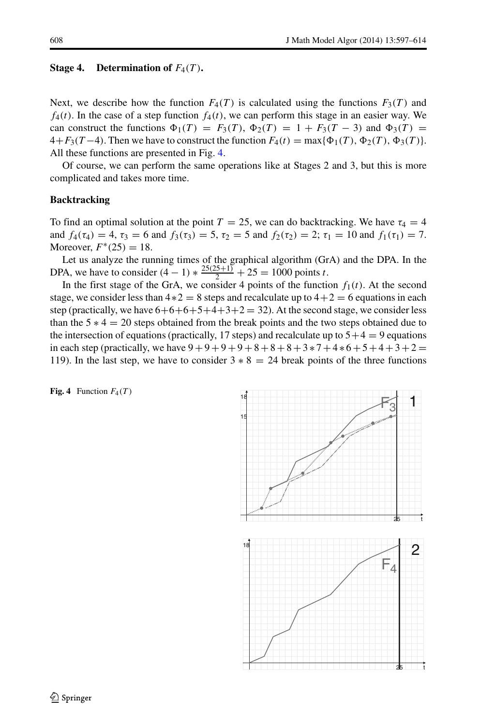### **Stage 4.** Determination of  $F_4(T)$ **.**

Next, we describe how the function  $F_4(T)$  is calculated using the functions  $F_3(T)$  and  $f_4(t)$ . In the case of a step function  $f_4(t)$ , we can perform this stage in an easier way. We can construct the functions  $\Phi_1(T) = F_3(T), \Phi_2(T) = 1 + F_3(T - 3)$  and  $\Phi_3(T) =$  $4+F_3(T-4)$ . Then we have to construct the function  $F_4(t) = \max{\{\Phi_1(T), \Phi_2(T), \Phi_3(T)\}}$ . All these functions are presented in Fig. [4.](#page-11-0)

Of course, we can perform the same operations like at Stages 2 and 3, but this is more complicated and takes more time.

# **Backtracking**

To find an optimal solution at the point  $T = 25$ , we can do backtracking. We have  $\tau_4 = 4$ and  $f_4(\tau_4) = 4$ ,  $\tau_3 = 6$  and  $f_3(\tau_3) = 5$ ,  $\tau_2 = 5$  and  $f_2(\tau_2) = 2$ ;  $\tau_1 = 10$  and  $f_1(\tau_1) = 7$ . Moreover,  $F^*(25) = 18$ .

Let us analyze the running times of the graphical algorithm (GrA) and the DPA. In the DPA, we have to consider  $(4 - 1) * \frac{25(25+1)}{2} + 25 = 1000$  points *t*.

In the first stage of the GrA, we consider 4 points of the function  $f_1(t)$ . At the second stage, we consider less than  $4*2 = 8$  steps and recalculate up to  $4+2 = 6$  equations in each step (practically, we have  $6+6+6+5+4+3+2=32$ ). At the second stage, we consider less than the  $5 * 4 = 20$  steps obtained from the break points and the two steps obtained due to the intersection of equations (practically, 17 steps) and recalculate up to  $5+4=9$  equations in each step (practically, we have  $9 + 9 + 9 + 9 + 8 + 8 + 8 + 3 + 7 + 4 + 6 + 5 + 4 + 3 + 2 =$ 119). In the last step, we have to consider  $3 * 8 = 24$  break points of the three functions

<span id="page-11-0"></span>**Fig. 4** Function  $F_4(T)$ 

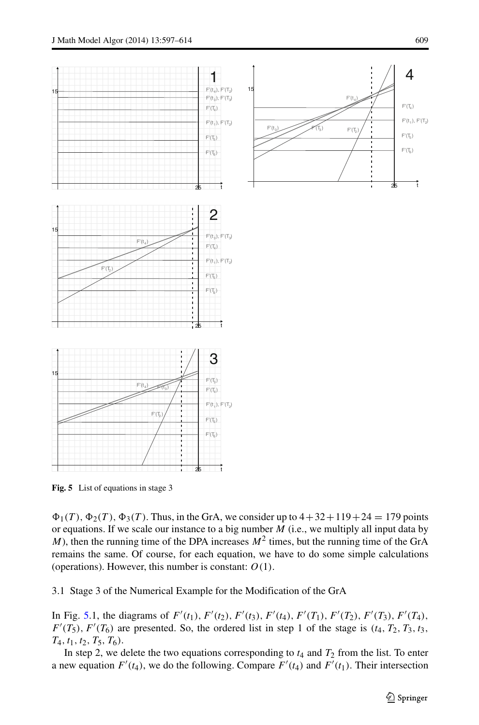4

 $F'(T_4)$  $F'(t_1)$ ,  $F'(T_2)$  $F'(T_5)$  $F'(T_0)$ 

25 t

 $F'(t_4)$ 

 $F'$ (

 $\mathcal{F}(\mathbb{T}_3)$ 

 $F'(t_3)$ 

<span id="page-12-0"></span>

**Fig. 5** List of equations in stage 3

 $\Phi_1(T)$ ,  $\Phi_2(T)$ ,  $\Phi_3(T)$ . Thus, in the GrA, we consider up to  $4+32+119+24=179$  points or equations. If we scale our instance to a big number *M* (i.e., we multiply all input data by *M*), then the running time of the DPA increases  $M^2$  times, but the running time of the GrA remains the same. Of course, for each equation, we have to do some simple calculations (operations). However, this number is constant: *O(*1*)*.

3.1 Stage 3 of the Numerical Example for the Modification of the GrA

In Fig. [5.](#page-12-0)1, the diagrams of  $F'(t_1)$ ,  $F'(t_2)$ ,  $F'(t_3)$ ,  $F'(t_4)$ ,  $F'(T_1)$ ,  $F'(T_2)$ ,  $F'(T_3)$ ,  $F'(T_4)$ ,  $F'(T_5)$ ,  $F'(T_6)$  are presented. So, the ordered list in step 1 of the stage is  $(t_4, T_2, T_3, t_3)$ , *T*4*, t*1*, t*2*, T*5*, T*6*)*.

In step 2, we delete the two equations corresponding to  $t_4$  and  $T_2$  from the list. To enter a new equation  $F'(t_4)$ , we do the following. Compare  $F'(t_4)$  and  $F'(t_1)$ . Their intersection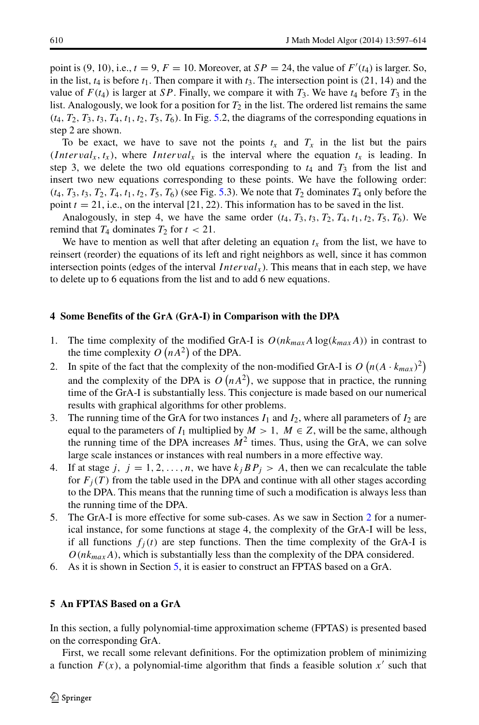point is  $(9, 10)$ , i.e.,  $t = 9$ ,  $F = 10$ . Moreover, at  $SP = 24$ , the value of  $F'(t_4)$  is larger. So, in the list,  $t_4$  is before  $t_1$ . Then compare it with  $t_3$ . The intersection point is (21, 14) and the value of  $F(t_4)$  is larger at *SP*. Finally, we compare it with  $T_3$ . We have  $t_4$  before  $T_3$  in the list. Analogously, we look for a position for  $T_2$  in the list. The ordered list remains the same  $(t_4, T_2, T_3, t_3, T_4, t_1, t_2, T_5, T_6)$ . In Fig. [5.](#page-12-0)2, the diagrams of the corresponding equations in step 2 are shown.

To be exact, we have to save not the points  $t_x$  and  $T_x$  in the list but the pairs *(Interval<sub>x</sub>, t<sub>x</sub>), where <i>Interval<sub>x</sub>* is the interval where the equation  $t_x$  is leading. In step 3, we delete the two old equations corresponding to  $t_4$  and  $T_3$  from the list and insert two new equations corresponding to these points. We have the following order:  $(t_4, T_3, t_3, T_2, T_4, t_1, t_2, T_5, T_6)$  (see Fig. [5.](#page-12-0)3). We note that  $T_2$  dominates  $T_4$  only before the point  $t = 21$ , i.e., on the interval [21, 22). This information has to be saved in the list.

Analogously, in step 4, we have the same order  $(t_4, T_3, t_3, T_2, T_4, t_1, t_2, T_5, T_6)$ . We remind that  $T_4$  dominates  $T_2$  for  $t < 21$ .

We have to mention as well that after deleting an equation  $t_x$  from the list, we have to reinsert (reorder) the equations of its left and right neighbors as well, since it has common intersection points (edges of the interval *Interval<sub>x</sub>*). This means that in each step, we have to delete up to 6 equations from the list and to add 6 new equations.

#### <span id="page-13-0"></span>**4 Some Benefits of the GrA (GrA-I) in Comparison with the DPA**

- 1. The time complexity of the modified GrA-I is  $O(nk_{max}A \log(k_{max}A))$  in contrast to the time complexity  $O(nA^2)$  of the DPA.
- 2. In spite of the fact that the complexity of the non-modified GrA-I is  $O(n(A \cdot k_{max})^2)$ and the complexity of the DPA is  $O(nA^2)$ , we suppose that in practice, the running time of the GrA-I is substantially less. This conjecture is made based on our numerical results with graphical algorithms for other problems.
- 3. The running time of the GrA for two instances  $I_1$  and  $I_2$ , where all parameters of  $I_2$  are equal to the parameters of  $I_1$  multiplied by  $M > 1$ ,  $M \in \mathbb{Z}$ , will be the same, although the running time of the DPA increases  $M<sup>2</sup>$  times. Thus, using the GrA, we can solve large scale instances or instances with real numbers in a more effective way.
- 4. If at stage *j*,  $j = 1, 2, ..., n$ , we have  $k_j B P_j > A$ , then we can recalculate the table for  $F_j(T)$  from the table used in the DPA and continue with all other stages according to the DPA. This means that the running time of such a modification is always less than the running time of the DPA.
- 5. The GrA-I is more effective for some sub-cases. As we saw in Section [2](#page-3-0) for a numerical instance, for some functions at stage 4, the complexity of the GrA-I will be less, if all functions  $f_i(t)$  are step functions. Then the time complexity of the GrA-I is  $O(nk_{max}A)$ , which is substantially less than the complexity of the DPA considered.
- 6. As it is shown in Section [5,](#page-13-1) it is easier to construct an FPTAS based on a GrA.

# <span id="page-13-1"></span>**5 An FPTAS Based on a GrA**

In this section, a fully polynomial-time approximation scheme (FPTAS) is presented based on the corresponding GrA.

First, we recall some relevant definitions. For the optimization problem of minimizing a function  $F(x)$ , a polynomial-time algorithm that finds a feasible solution  $x'$  such that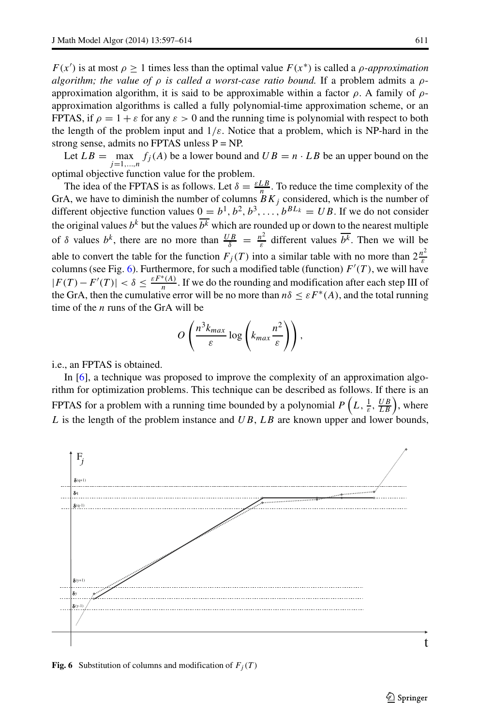*F(x')* is at most  $\rho \ge 1$  times less than the optimal value  $F(x^*)$  is called a *ρ*-*approximation algorithm; the value of ρ is called a worst-case ratio bound.* If a problem admits a *ρ*approximation algorithm, it is said to be approximable within a factor *ρ*. A family of *ρ*approximation algorithms is called a fully polynomial-time approximation scheme, or an FPTAS, if  $\rho = 1 + \varepsilon$  for any  $\varepsilon > 0$  and the running time is polynomial with respect to both the length of the problem input and  $1/\varepsilon$ . Notice that a problem, which is NP-hard in the strong sense, admits no FPTAS unless  $P = NP$ .

Let  $LB = \max_{j=1,\dots,n} f_j(A)$  be a lower bound and  $UB = n \cdot LB$  be an upper bound on the optimal objective function value for the problem.

The idea of the FPTAS is as follows. Let  $\delta = \frac{\varepsilon L B}{n}$ . To reduce the time complexity of the GrA, we have to diminish the number of columns  $B K_j$  considered, which is the number of different objective function values  $0 = b^1, b^2, b^3, \ldots, b^{BL_k} = UB$ . If we do not consider the original values  $b^k$  but the values  $\overline{b^k}$  which are rounded up or down to the nearest multiple of  $\delta$  values  $b^k$ , there are no more than  $\frac{UB}{\delta} = \frac{n^2}{\varepsilon}$  different values  $\overline{b^k}$ . Then we will be able to convert the table for the function  $F_j(T)$  into a similar table with no more than  $2\frac{n^2}{\varepsilon}$ columns (see Fig. [6\)](#page-14-0). Furthermore, for such a modified table (function) *F (T )*, we will have  $|F(T) - F'(T)| < \delta \leq \frac{\varepsilon F^*(A)}{n}$ . If we do the rounding and modification after each step III of the GrA, then the cumulative error will be no more than  $n\delta \leq \varepsilon F^*(A)$ , and the total running time of the *n* runs of the GrA will be

$$
O\left(\frac{n^3k_{max}}{\varepsilon}\log\left(k_{max}\frac{n^2}{\varepsilon}\right)\right),\,
$$

i.e., an FPTAS is obtained.

In [\[6\]](#page-17-4), a technique was proposed to improve the complexity of an approximation algorithm for optimization problems. This technique can be described as follows. If there is an FPTAS for a problem with a running time bounded by a polynomial  $P\left(L, \frac{1}{\varepsilon}, \frac{UB}{LB}\right)$ , where *L* is the length of the problem instance and *UB*, *LB* are known upper and lower bounds,

<span id="page-14-0"></span>

**Fig. 6** Substitution of columns and modification of  $F_j(T)$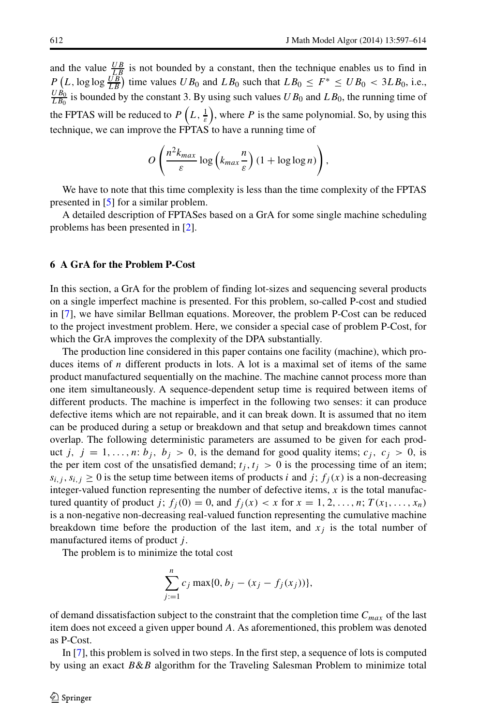and the value  $\frac{UB}{LB}$  is not bounded by a constant, then the technique enables us to find in  $P\left(L, \log \log \frac{UB}{LB}\right)$  time values *UB*<sub>0</sub> and *LB*<sub>0</sub> such that  $LB_0 \le F^* \le UB_0 < 3LB_0$ , i.e.,  $\frac{UB_0}{LB_0}$  is bounded by the constant 3. By using such values *UB*<sub>0</sub> and *LB*<sub>0</sub>, the running time of the FPTAS will be reduced to  $P\left(L, \frac{1}{\varepsilon}\right)$ , where P is the same polynomial. So, by using this technique, we can improve the FPTAS to have a running time of

$$
O\left(\frac{n^2k_{max}}{\varepsilon}\log\left(k_{max}\frac{n}{\varepsilon}\right)(1+\log\log n)\right),\,
$$

We have to note that this time complexity is less than the time complexity of the FPTAS presented in [\[5\]](#page-17-2) for a similar problem.

A detailed description of FPTASes based on a GrA for some single machine scheduling problems has been presented in [\[2\]](#page-17-5).

# <span id="page-15-0"></span>**6 A GrA for the Problem P-Cost**

In this section, a GrA for the problem of finding lot-sizes and sequencing several products on a single imperfect machine is presented. For this problem, so-called P-cost and studied in [\[7\]](#page-17-6), we have similar Bellman equations. Moreover, the problem P-Cost can be reduced to the project investment problem. Here, we consider a special case of problem P-Cost, for which the GrA improves the complexity of the DPA substantially.

The production line considered in this paper contains one facility (machine), which produces items of *n* different products in lots. A lot is a maximal set of items of the same product manufactured sequentially on the machine. The machine cannot process more than one item simultaneously. A sequence-dependent setup time is required between items of different products. The machine is imperfect in the following two senses: it can produce defective items which are not repairable, and it can break down. It is assumed that no item can be produced during a setup or breakdown and that setup and breakdown times cannot overlap. The following deterministic parameters are assumed to be given for each product *j*,  $j = 1, \ldots, n$ :  $b_j$ ,  $b_j > 0$ , is the demand for good quality items;  $c_j$ ,  $c_j > 0$ , is the per item cost of the unsatisfied demand;  $t_j$ ,  $t_j > 0$  is the processing time of an item;  $s_{i,j}$ ,  $s_{i,j} \geq 0$  is the setup time between items of products *i* and *j*;  $f_i(x)$  is a non-decreasing integer-valued function representing the number of defective items, *x* is the total manufactured quantity of product *j*;  $f_j(0) = 0$ , and  $f_j(x) < x$  for  $x = 1, 2, \ldots, n$ ;  $T(x_1, \ldots, x_n)$ is a non-negative non-decreasing real-valued function representing the cumulative machine breakdown time before the production of the last item, and  $x_j$  is the total number of manufactured items of product *j* .

The problem is to minimize the total cost

$$
\sum_{j=1}^{n} c_j \max\{0, b_j - (x_j - f_j(x_j))\},\,
$$

of demand dissatisfaction subject to the constraint that the completion time  $C_{max}$  of the last item does not exceed a given upper bound *A*. As aforementioned, this problem was denoted as P-Cost.

In [\[7\]](#page-17-6), this problem is solved in two steps. In the first step, a sequence of lots is computed by using an exact *B*&*B* algorithm for the Traveling Salesman Problem to minimize total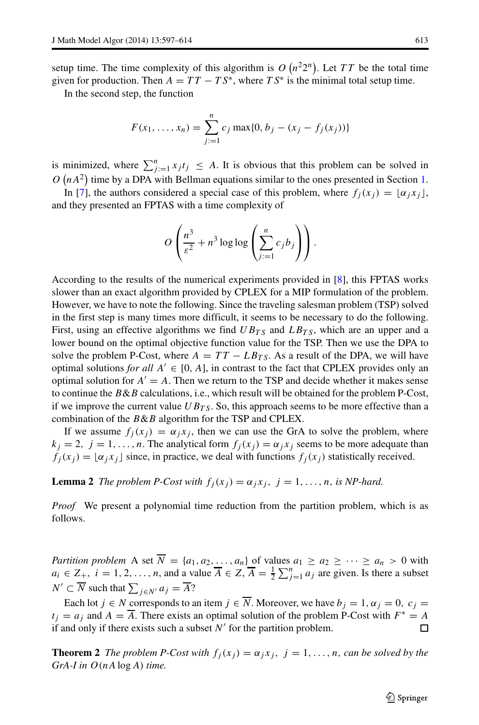setup time. The time complexity of this algorithm is  $O(n^22^n)$ . Let TT be the total time given for production. Then  $A = TT - TS^*$ , where  $TS^*$  is the minimal total setup time.

In the second step, the function

$$
F(x_1, ..., x_n) = \sum_{j:=1}^n c_j \max\{0, b_j - (x_j - f_j(x_j))\}
$$

is minimized, where  $\sum_{j=1}^{n} x_j t_j \leq A$ . It is obvious that this problem can be solved in  $O(nA^2)$  time by a DPA with Bellman equations similar to the ones presented in Section [1.](#page-1-1)

In [\[7\]](#page-17-6), the authors considered a special case of this problem, where  $f_i(x_i) = \alpha_i x_i$ , and they presented an FPTAS with a time complexity of

$$
O\left(\frac{n^3}{\varepsilon^2} + n^3 \log \log \left(\sum_{j=1}^n c_j b_j\right)\right).
$$

According to the results of the numerical experiments provided in [\[8\]](#page-17-7), this FPTAS works slower than an exact algorithm provided by CPLEX for a MIP formulation of the problem. However, we have to note the following. Since the traveling salesman problem (TSP) solved in the first step is many times more difficult, it seems to be necessary to do the following. First, using an effective algorithms we find  $UB_{TS}$  and  $LB_{TS}$ , which are an upper and a lower bound on the optimal objective function value for the TSP. Then we use the DPA to solve the problem P-Cost, where  $A = TT - LB_{TS}$ . As a result of the DPA, we will have optimal solutions *for all*  $A' \in [0, A]$ , in contrast to the fact that CPLEX provides only an optimal solution for  $A' = A$ . Then we return to the TSP and decide whether it makes sense to continue the *B*&*B* calculations, i.e., which result will be obtained for the problem P-Cost, if we improve the current value  $UB_{TS}$ . So, this approach seems to be more effective than a combination of the *B*&*B* algorithm for the TSP and CPLEX.

If we assume  $f_j(x_j) = \alpha_j x_j$ , then we can use the GrA to solve the problem, where  $k_j = 2$ ,  $j = 1, \ldots, n$ . The analytical form  $f_j(x_j) = \alpha_j x_j$  seems to be more adequate than  $f_j(x_j) = \lfloor \alpha_j x_j \rfloor$  since, in practice, we deal with functions  $f_j(x_j)$  statistically received.

**Lemma 2** *The problem P-Cost with*  $f_i(x_j) = \alpha_j x_j$ ,  $j = 1, \ldots, n$ , *is NP-hard.* 

*Proof* We present a polynomial time reduction from the partition problem, which is as follows.

*Partition problem* A set  $\overline{N} = \{a_1, a_2, \ldots, a_n\}$  of values  $a_1 \ge a_2 \ge \cdots \ge a_n > 0$  with  $a_i \in Z_+$ ,  $i = 1, 2, ..., n$ , and a value  $\overline{A} \in Z$ ,  $\overline{A} = \frac{1}{2} \sum_{j=1}^n a_j$  are given. Is there a subset  $N' \subset N$  such that  $\sum_{j \in N'} a_j = A$ ?

Each lot  $j \in N$  corresponds to an item  $j \in \overline{N}$ . Moreover, we have  $b_j = 1, \alpha_j = 0, c_j =$  $t_j = a_j$  and  $A = \overline{A}$ . There exists an optimal solution of the problem P-Cost with  $F^* = A$ if and only if there exists such a subset  $N'$  for the partition problem.

**Theorem 2** *The problem P-Cost with*  $f_j(x_j) = \alpha_j x_j$ ,  $j = 1, \ldots, n$ , *can be solved by the GrA-I in O(nA* log *A) time.*